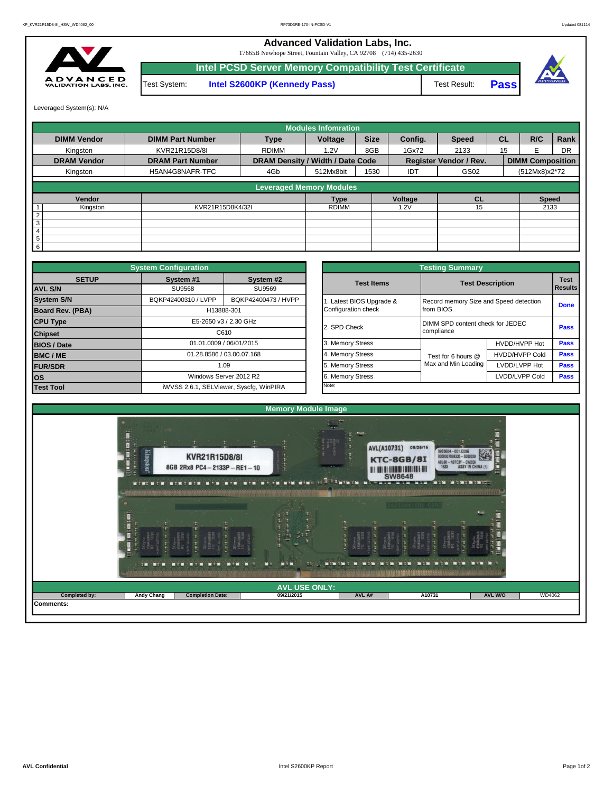**Advanced Validation Labs, Inc.** 

17665B Newhope Street, Fountain Valley, CA 92708 (714) 435-2630



**Intel PCSD Server Memory Compatibility Test Certificate Pass** Test System: **Intel S2600KP (Kennedy Pass)** Test Result:



Leveraged System(s): N/A

|                    |                         |                                  | <b>Modules Infomration</b> |             |         |                               |           |                         |           |
|--------------------|-------------------------|----------------------------------|----------------------------|-------------|---------|-------------------------------|-----------|-------------------------|-----------|
| <b>DIMM Vendor</b> | <b>DIMM Part Number</b> | <b>Type</b>                      | Voltage                    | <b>Size</b> | Config. | <b>Speed</b>                  | <b>CL</b> | R/C                     | Rank      |
| Kingston           | KVR21R15D8/8I           | <b>RDIMM</b>                     | 1.2V                       | 8GB         | 1Gx72   | 2133                          | 15        | F                       | <b>DR</b> |
| <b>DRAM Vendor</b> | <b>DRAM Part Number</b> | DRAM Density / Width / Date Code |                            |             |         | <b>Register Vendor / Rev.</b> |           | <b>DIMM Composition</b> |           |
| Kingston           | H5AN4G8NAFR-TFC         | 4Gb                              | 512Mx8bit                  | 1530        | IDT     | GS02                          |           | (512Mx8)x2*72           |           |
|                    |                         | <b>Leveraged Memory Modules</b>  |                            |             |         |                               |           |                         |           |
| Vendor             |                         |                                  | <b>Type</b>                |             | Voltage | <b>CL</b>                     |           | <b>Speed</b>            |           |
| Kingston           | KVR21R15D8K4/32I        |                                  | <b>RDIMM</b>               |             | .2V     | 15                            |           | 2133                    |           |
| $\overline{2}$     |                         |                                  |                            |             |         |                               |           |                         |           |
| 3                  |                         |                                  |                            |             |         |                               |           |                         |           |
| 4                  |                         |                                  |                            |             |         |                               |           |                         |           |
| 5                  |                         |                                  |                            |             |         |                               |           |                         |           |
| 6                  |                         |                                  |                            |             |         |                               |           |                         |           |

|                                                                    | <b>System Configuration</b> |                                         |              | <b>Testing Summary</b> |                                        |                                  |             |  |  |  |  |  |  |
|--------------------------------------------------------------------|-----------------------------|-----------------------------------------|--------------|------------------------|----------------------------------------|----------------------------------|-------------|--|--|--|--|--|--|
| <b>SETUP</b>                                                       | System #1                   | System #2                               |              | <b>Test Items</b>      | <b>Test Description</b>                | <b>Test</b>                      |             |  |  |  |  |  |  |
| <b>AVL S/N</b>                                                     | SU9568                      | SU9569                                  |              |                        |                                        | Results                          |             |  |  |  |  |  |  |
| <b>System S/N</b>                                                  | BQKP42400310 / LVPP         | BQKP42400473 / HVPP                     |              | Latest BIOS Upgrade &  | Record memory Size and Speed detection |                                  | <b>Done</b> |  |  |  |  |  |  |
| Board Rev. (PBA)                                                   |                             | H13888-301                              |              | Configuration check    | from BIOS                              |                                  |             |  |  |  |  |  |  |
| <b>CPU Type</b><br>E5-2650 v3 / 2.30 GHz<br>C610<br><b>Chipset</b> |                             |                                         | 2. SPD Check |                        |                                        | DIMM SPD content check for JEDEC |             |  |  |  |  |  |  |
|                                                                    |                             |                                         |              |                        | compliance                             |                                  |             |  |  |  |  |  |  |
| <b>BIOS / Date</b>                                                 |                             | 01.01.0009 / 06/01/2015                 |              | 3. Memory Stress       |                                        | HVDD/HVPP Hot                    | <b>Pass</b> |  |  |  |  |  |  |
| <b>BMC/ME</b>                                                      |                             | 01.28.8586 / 03.00.07.168               |              | 4. Memory Stress       | Test for 6 hours @                     | <b>HVDD/HVPP Cold</b>            | <b>Pass</b> |  |  |  |  |  |  |
| <b>FUR/SDR</b>                                                     |                             | 1.09                                    |              | 5. Memory Stress       | Max and Min Loading                    | LVDD/LVPP Hot                    | Pass        |  |  |  |  |  |  |
| <b>los</b>                                                         |                             | Windows Server 2012 R2                  |              | 6. Memory Stress       |                                        | LVDD/LVPP Cold                   | Pass        |  |  |  |  |  |  |
| <b>Test Tool</b>                                                   |                             | iWVSS 2.6.1, SELViewer, Syscfq, WinPIRA |              | Note:                  |                                        |                                  |             |  |  |  |  |  |  |

|              | <b>System Configuration</b> |                                         |                       | <b>Testing Summary</b>                 |                       |                                                                                      |  |
|--------------|-----------------------------|-----------------------------------------|-----------------------|----------------------------------------|-----------------------|--------------------------------------------------------------------------------------|--|
| <b>SETUP</b> | System #1                   | System #2                               | <b>Test Items</b>     | <b>Test Description</b>                |                       |                                                                                      |  |
|              | <b>SU9568</b>               | SU9569                                  |                       |                                        |                       |                                                                                      |  |
|              | BQKP42400310 / LVPP         | BQKP42400473 / HVPP                     | Latest BIOS Upgrade & | Record memory Size and Speed detection |                       |                                                                                      |  |
| PBA)         |                             | H13888-301                              | Configuration check   | from BIOS                              |                       |                                                                                      |  |
|              |                             | E5-2650 v3 / 2.30 GHz                   | 2. SPD Check          | DIMM SPD content check for JEDEC       |                       |                                                                                      |  |
|              |                             | C610                                    |                       | compliance                             |                       |                                                                                      |  |
|              |                             | 01.01.0009 / 06/01/2015                 | 3. Memory Stress      |                                        | HVDD/HVPP Hot         |                                                                                      |  |
|              |                             | 01.28.8586 / 03.00.07.168               | 4. Memory Stress      | Test for 6 hours @                     | <b>HVDD/HVPP Cold</b> | <b>Test</b><br><b>Results</b><br><b>Done</b><br>Pass<br>Pass<br>Pass<br>Pass<br>Pass |  |
|              |                             | 1.09                                    | 5. Memory Stress      | Max and Min Loading                    | LVDD/LVPP Hot         |                                                                                      |  |
|              | Windows Server 2012 R2      |                                         | 6. Memory Stress      |                                        | LVDD/LVPP Cold        |                                                                                      |  |
|              |                             | iWVSS 2.6.1, SELViewer, Syscfq, WinPIRA | Note:                 |                                        |                       |                                                                                      |  |